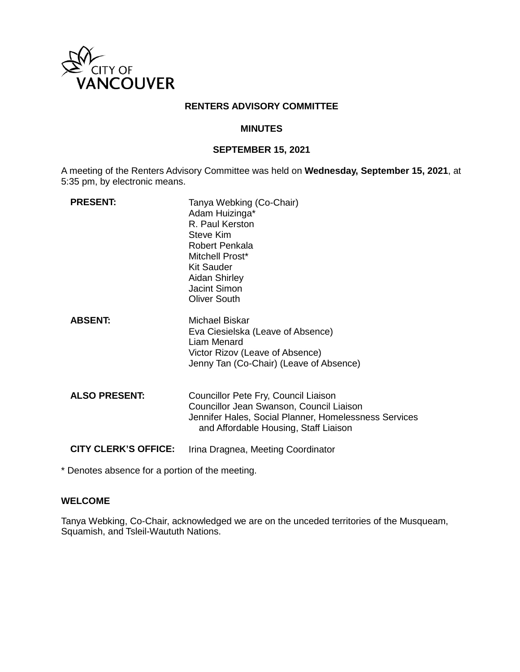

## **RENTERS ADVISORY COMMITTEE**

### **MINUTES**

## **SEPTEMBER 15, 2021**

A meeting of the Renters Advisory Committee was held on **Wednesday, September 15, 2021**, at 5:35 pm, by electronic means.

| <b>PRESENT:</b>             | Tanya Webking (Co-Chair)<br>Adam Huizinga*<br>R. Paul Kerston<br>Steve Kim<br>Robert Penkala<br>Mitchell Prost*<br><b>Kit Sauder</b><br>Aidan Shirley<br>Jacint Simon<br><b>Oliver South</b> |
|-----------------------------|----------------------------------------------------------------------------------------------------------------------------------------------------------------------------------------------|
| <b>ABSENT:</b>              | Michael Biskar<br>Eva Ciesielska (Leave of Absence)<br><b>Liam Menard</b><br>Victor Rizov (Leave of Absence)<br>Jenny Tan (Co-Chair) (Leave of Absence)                                      |
| <b>ALSO PRESENT:</b>        | Councillor Pete Fry, Council Liaison<br>Councillor Jean Swanson, Council Liaison<br>Jennifer Hales, Social Planner, Homelessness Services<br>and Affordable Housing, Staff Liaison           |
| <b>CITY CLERK'S OFFICE:</b> | Irina Dragnea, Meeting Coordinator                                                                                                                                                           |

\* Denotes absence for a portion of the meeting.

# **WELCOME**

Tanya Webking, Co-Chair, acknowledged we are on the unceded territories of the Musqueam, Squamish, and Tsleil-Waututh Nations.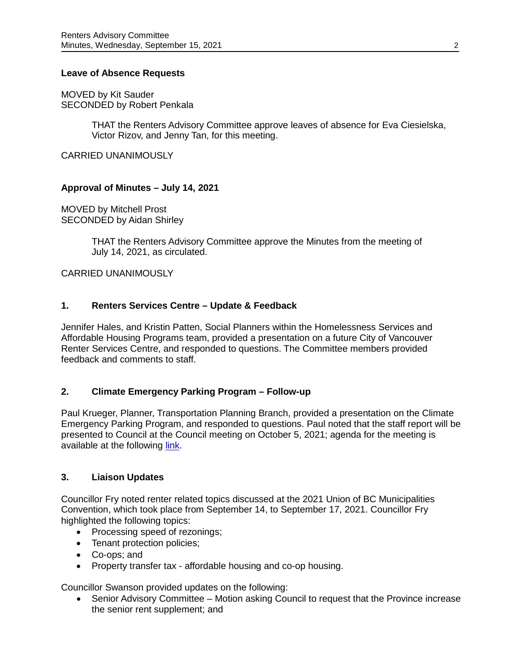### **Leave of Absence Requests**

MOVED by Kit Sauder SECONDED by Robert Penkala

> THAT the Renters Advisory Committee approve leaves of absence for Eva Ciesielska, Victor Rizov, and Jenny Tan, for this meeting.

CARRIED UNANIMOUSLY

### **Approval of Minutes – July 14, 2021**

MOVED by Mitchell Prost SECONDED by Aidan Shirley

> THAT the Renters Advisory Committee approve the Minutes from the meeting of July 14, 2021, as circulated.

CARRIED UNANIMOUSLY

### **1. Renters Services Centre – Update & Feedback**

Jennifer Hales, and Kristin Patten, Social Planners within the Homelessness Services and Affordable Housing Programs team, provided a presentation on a future City of Vancouver Renter Services Centre, and responded to questions. The Committee members provided feedback and comments to staff.

### **2. Climate Emergency Parking Program – Follow-up**

Paul Krueger, Planner, Transportation Planning Branch, provided a presentation on the Climate Emergency Parking Program, and responded to questions. Paul noted that the staff report will be presented to Council at the Council meeting on October 5, 2021; agenda for the meeting is available at the following [link.](https://council.vancouver.ca/20211005/spec20211005ag.htm)

#### **3. Liaison Updates**

Councillor Fry noted renter related topics discussed at the 2021 Union of BC Municipalities Convention, which took place from September 14, to September 17, 2021. Councillor Fry highlighted the following topics:

- Processing speed of rezonings;
- Tenant protection policies;
- Co-ops; and
- Property transfer tax affordable housing and co-op housing.

Councillor Swanson provided updates on the following:

• Senior Advisory Committee – Motion asking Council to request that the Province increase the senior rent supplement; and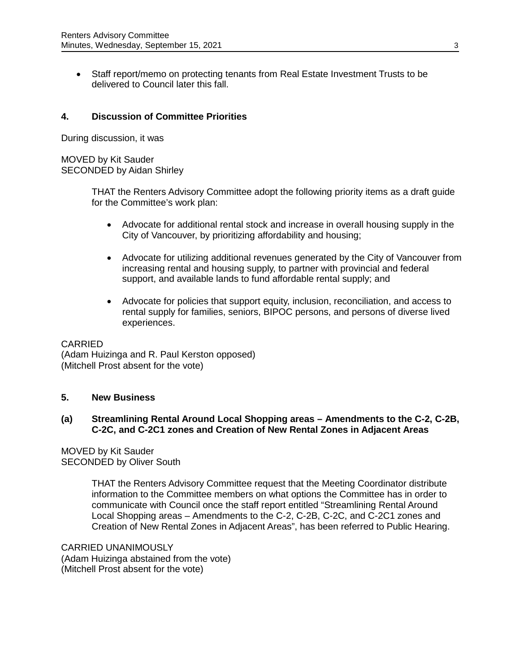• Staff report/memo on protecting tenants from Real Estate Investment Trusts to be delivered to Council later this fall.

# **4. Discussion of Committee Priorities**

During discussion, it was

# MOVED by Kit Sauder SECONDED by Aidan Shirley

THAT the Renters Advisory Committee adopt the following priority items as a draft guide for the Committee's work plan:

- Advocate for additional rental stock and increase in overall housing supply in the City of Vancouver, by prioritizing affordability and housing;
- Advocate for utilizing additional revenues generated by the City of Vancouver from increasing rental and housing supply, to partner with provincial and federal support, and available lands to fund affordable rental supply; and
- Advocate for policies that support equity, inclusion, reconciliation, and access to rental supply for families, seniors, BIPOC persons, and persons of diverse lived experiences.

### CARRIED

(Adam Huizinga and R. Paul Kerston opposed) (Mitchell Prost absent for the vote)

## **5. New Business**

### **(a) Streamlining Rental Around Local Shopping areas – Amendments to the C-2, C-2B, C-2C, and C-2C1 zones and Creation of New Rental Zones in Adjacent Areas**

MOVED by Kit Sauder SECONDED by Oliver South

> THAT the Renters Advisory Committee request that the Meeting Coordinator distribute information to the Committee members on what options the Committee has in order to communicate with Council once the staff report entitled "Streamlining Rental Around Local Shopping areas – Amendments to the C-2, C-2B, C-2C, and C-2C1 zones and Creation of New Rental Zones in Adjacent Areas", has been referred to Public Hearing.

CARRIED UNANIMOUSLY (Adam Huizinga abstained from the vote) (Mitchell Prost absent for the vote)